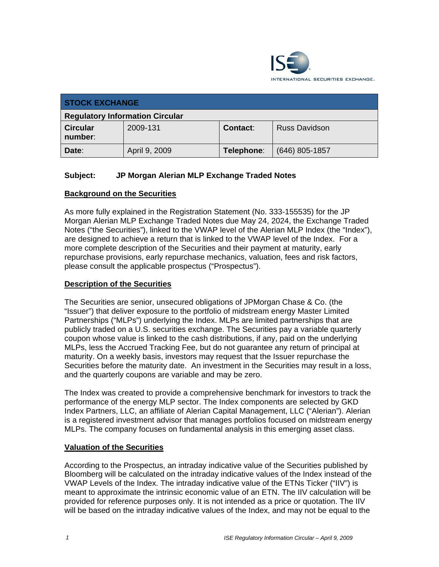

| <b>STOCK EXCHANGE</b>                  |               |            |                      |
|----------------------------------------|---------------|------------|----------------------|
| <b>Regulatory Information Circular</b> |               |            |                      |
| <b>Circular</b><br>number:             | 2009-131      | Contact:   | <b>Russ Davidson</b> |
| Date:                                  | April 9, 2009 | Telephone: | $(646)$ 805-1857     |

## **Subject: JP Morgan Alerian MLP Exchange Traded Notes**

### **Background on the Securities**

As more fully explained in the Registration Statement (No. 333-155535) for the JP Morgan Alerian MLP Exchange Traded Notes due May 24, 2024, the Exchange Traded Notes ("the Securities"), linked to the VWAP level of the Alerian MLP Index (the "Index"), are designed to achieve a return that is linked to the VWAP level of the Index. For a more complete description of the Securities and their payment at maturity, early repurchase provisions, early repurchase mechanics, valuation, fees and risk factors, please consult the applicable prospectus ("Prospectus").

### **Description of the Securities**

The Securities are senior, unsecured obligations of JPMorgan Chase & Co. (the "Issuer") that deliver exposure to the portfolio of midstream energy Master Limited Partnerships ("MLPs") underlying the Index. MLPs are limited partnerships that are publicly traded on a U.S. securities exchange. The Securities pay a variable quarterly coupon whose value is linked to the cash distributions, if any, paid on the underlying MLPs, less the Accrued Tracking Fee, but do not guarantee any return of principal at maturity. On a weekly basis, investors may request that the Issuer repurchase the Securities before the maturity date. An investment in the Securities may result in a loss, and the quarterly coupons are variable and may be zero.

The Index was created to provide a comprehensive benchmark for investors to track the performance of the energy MLP sector. The Index components are selected by GKD Index Partners, LLC, an affiliate of Alerian Capital Management, LLC ("Alerian"). Alerian is a registered investment advisor that manages portfolios focused on midstream energy MLPs. The company focuses on fundamental analysis in this emerging asset class.

#### **Valuation of the Securities**

According to the Prospectus, an intraday indicative value of the Securities published by Bloomberg will be calculated on the intraday indicative values of the Index instead of the VWAP Levels of the Index. The intraday indicative value of the ETNs Ticker ("IIV") is meant to approximate the intrinsic economic value of an ETN. The IIV calculation will be provided for reference purposes only. It is not intended as a price or quotation. The IIV will be based on the intraday indicative values of the Index, and may not be equal to the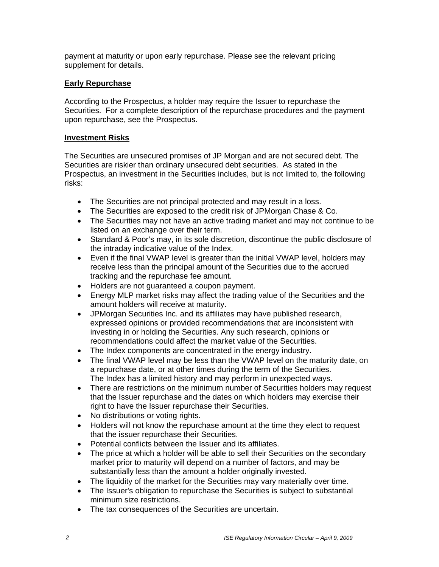payment at maturity or upon early repurchase. Please see the relevant pricing supplement for details.

## **Early Repurchase**

According to the Prospectus, a holder may require the Issuer to repurchase the Securities. For a complete description of the repurchase procedures and the payment upon repurchase, see the Prospectus.

### **Investment Risks**

The Securities are unsecured promises of JP Morgan and are not secured debt. The Securities are riskier than ordinary unsecured debt securities. As stated in the Prospectus, an investment in the Securities includes, but is not limited to, the following risks:

- The Securities are not principal protected and may result in a loss.
- The Securities are exposed to the credit risk of JPMorgan Chase & Co.
- The Securities may not have an active trading market and may not continue to be listed on an exchange over their term.
- Standard & Poor's may, in its sole discretion, discontinue the public disclosure of the intraday indicative value of the Index.
- Even if the final VWAP level is greater than the initial VWAP level, holders may receive less than the principal amount of the Securities due to the accrued tracking and the repurchase fee amount.
- Holders are not guaranteed a coupon payment.
- Energy MLP market risks may affect the trading value of the Securities and the amount holders will receive at maturity.
- JPMorgan Securities Inc. and its affiliates may have published research, expressed opinions or provided recommendations that are inconsistent with investing in or holding the Securities. Any such research, opinions or recommendations could affect the market value of the Securities.
- The Index components are concentrated in the energy industry.
- The final VWAP level may be less than the VWAP level on the maturity date, on a repurchase date, or at other times during the term of the Securities. The Index has a limited history and may perform in unexpected ways.
- There are restrictions on the minimum number of Securities holders may request that the Issuer repurchase and the dates on which holders may exercise their right to have the Issuer repurchase their Securities.
- No distributions or voting rights.
- Holders will not know the repurchase amount at the time they elect to request that the issuer repurchase their Securities.
- Potential conflicts between the Issuer and its affiliates.
- The price at which a holder will be able to sell their Securities on the secondary market prior to maturity will depend on a number of factors, and may be substantially less than the amount a holder originally invested.
- The liquidity of the market for the Securities may vary materially over time.
- The Issuer's obligation to repurchase the Securities is subject to substantial minimum size restrictions.
- The tax consequences of the Securities are uncertain.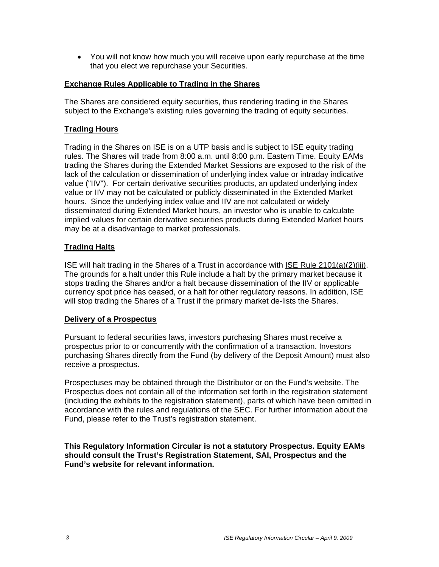• You will not know how much you will receive upon early repurchase at the time that you elect we repurchase your Securities.

#### **Exchange Rules Applicable to Trading in the Shares**

The Shares are considered equity securities, thus rendering trading in the Shares subject to the Exchange's existing rules governing the trading of equity securities.

## **Trading Hours**

Trading in the Shares on ISE is on a UTP basis and is subject to ISE equity trading rules. The Shares will trade from 8:00 a.m. until 8:00 p.m. Eastern Time. Equity EAMs trading the Shares during the Extended Market Sessions are exposed to the risk of the lack of the calculation or dissemination of underlying index value or intraday indicative value ("IIV"). For certain derivative securities products, an updated underlying index value or IIV may not be calculated or publicly disseminated in the Extended Market hours. Since the underlying index value and IIV are not calculated or widely disseminated during Extended Market hours, an investor who is unable to calculate implied values for certain derivative securities products during Extended Market hours may be at a disadvantage to market professionals.

### **Trading Halts**

ISE will halt trading in the Shares of a Trust in accordance with ISE Rule 2101(a)(2)(iii). The grounds for a halt under this Rule include a halt by the primary market because it stops trading the Shares and/or a halt because dissemination of the IIV or applicable currency spot price has ceased, or a halt for other regulatory reasons. In addition, ISE will stop trading the Shares of a Trust if the primary market de-lists the Shares.

### **Delivery of a Prospectus**

Pursuant to federal securities laws, investors purchasing Shares must receive a prospectus prior to or concurrently with the confirmation of a transaction. Investors purchasing Shares directly from the Fund (by delivery of the Deposit Amount) must also receive a prospectus.

Prospectuses may be obtained through the Distributor or on the Fund's website. The Prospectus does not contain all of the information set forth in the registration statement (including the exhibits to the registration statement), parts of which have been omitted in accordance with the rules and regulations of the SEC. For further information about the Fund, please refer to the Trust's registration statement.

**This Regulatory Information Circular is not a statutory Prospectus. Equity EAMs should consult the Trust's Registration Statement, SAI, Prospectus and the Fund's website for relevant information.**